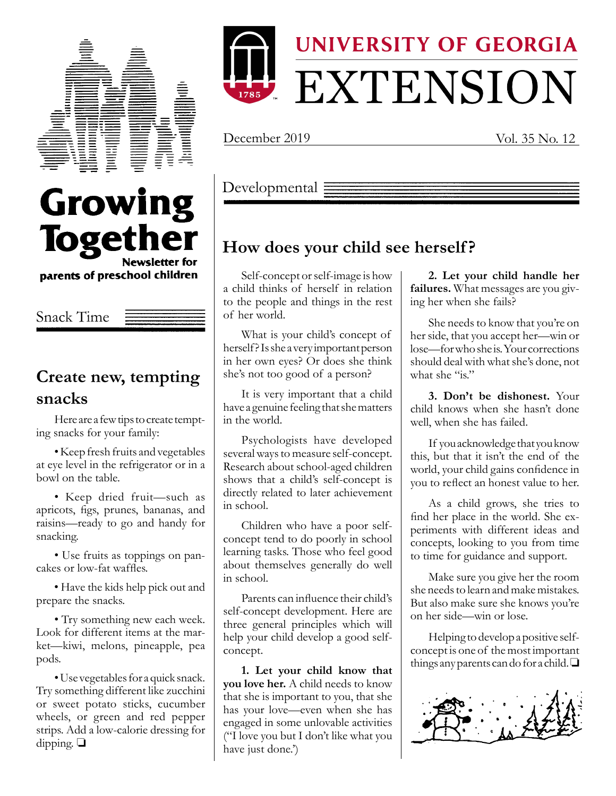



December 2019 Vol. 35 No. 12



Snack Time

## **Create new, tempting snacks**

Here are a few tips to create tempting snacks for your family:

•Keep fresh fruits and vegetables at eye level in the refrigerator or in a bowl on the table.

• Keep dried fruit—such as apricots, figs, prunes, bananas, and raisins—ready to go and handy for snacking.

• Use fruits as toppings on pancakes or low-fat waffles.

• Have the kids help pick out and prepare the snacks.

• Try something new each week. Look for different items at the market—kiwi, melons, pineapple, pea pods.

•Use vegetables for a quick snack. Try something different like zucchini or sweet potato sticks, cucumber wheels, or green and red pepper strips. Add a low-calorie dressing for dipping.  $\Box$ 

Developmental  $\equiv$ 

# **How does your child see herself ?**

Self-concept or self-image is how a child thinks of herself in relation to the people and things in the rest of her world.

What is your child's concept of herself? Is she a very important person in her own eyes? Or does she think she's not too good of a person?

It is very important that a child have a genuine feeling that she matters in the world.

Psychologists have developed several ways to measure self-concept. Research about school-aged children shows that a child's self-concept is directly related to later achievement in school.

Children who have a poor selfconcept tend to do poorly in school learning tasks. Those who feel good about themselves generally do well in school.

Parents can influence their child's self-concept development. Here are three general principles which will help your child develop a good selfconcept.

**1. Let your child know that you love her.** A child needs to know that she is important to you, that she has your love—even when she has engaged in some unlovable activities ("I love you but I don't like what you have just done.')

**2. Let your child handle her failures.** What messages are you giving her when she fails?

She needs to know that you're on her side, that you accept her—win or lose—for who she is. Your corrections should deal with what she's done, not what she "is"

**3. Don't be dishonest.** Your child knows when she hasn't done well, when she has failed.

If you acknowledge that you know this, but that it isn't the end of the world, your child gains confidence in you to reflect an honest value to her.

As a child grows, she tries to find her place in the world. She experiments with different ideas and concepts, looking to you from time to time for guidance and support.

Make sure you give her the room she needs to learn and make mistakes. But also make sure she knows you're on her side—win or lose.

Helping to develop a positive selfconcept is one of the most important things any parents can do for a child.  $\Box$ 

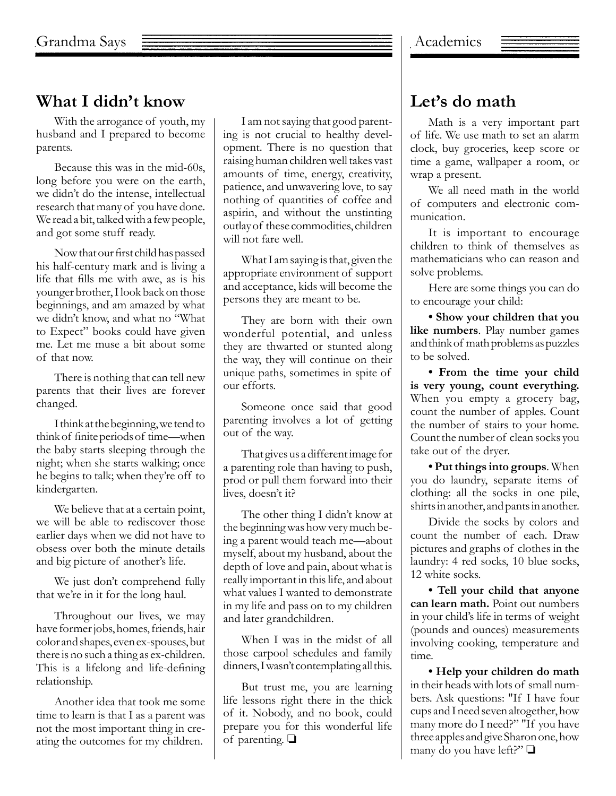# **What I didn't know**

With the arrogance of youth, my husband and I prepared to become parents.

Because this was in the mid-60s, long before you were on the earth, we didn't do the intense, intellectual research that many of you have done. We read a bit, talked with a few people, and got some stuff ready.

Now that our first child has passed his half-century mark and is living a life that fills me with awe, as is his younger brother, I look back on those beginnings, and am amazed by what we didn't know, and what no "What to Expect" books could have given me. Let me muse a bit about some of that now.

There is nothing that can tell new parents that their lives are forever changed.

I think at the beginning, we tend to think of finite periods of time—when the baby starts sleeping through the night; when she starts walking; once he begins to talk; when they're off to kindergarten.

We believe that at a certain point, we will be able to rediscover those earlier days when we did not have to obsess over both the minute details and big picture of another's life.

We just don't comprehend fully that we're in it for the long haul.

Throughout our lives, we may have former jobs, homes, friends, hair color and shapes, even ex-spouses, but there is no such a thing as ex-children. This is a lifelong and life-defining relationship.

Another idea that took me some time to learn is that I as a parent was not the most important thing in creating the outcomes for my children.

I am not saying that good parenting is not crucial to healthy development. There is no question that raising human children well takes vast amounts of time, energy, creativity, patience, and unwavering love, to say nothing of quantities of coffee and aspirin, and without the unstinting outlay of these commodities, children will not fare well.

What I am saying is that, given the appropriate environment of support and acceptance, kids will become the persons they are meant to be.

They are born with their own wonderful potential, and unless they are thwarted or stunted along the way, they will continue on their unique paths, sometimes in spite of our efforts.

Someone once said that good parenting involves a lot of getting out of the way.

That gives us a different image for a parenting role than having to push, prod or pull them forward into their lives, doesn't it?

The other thing I didn't know at the beginning was how very much being a parent would teach me—about myself, about my husband, about the depth of love and pain, about what is really important in this life, and about what values I wanted to demonstrate in my life and pass on to my children and later grandchildren.

When I was in the midst of all those carpool schedules and family dinners, I wasn't contemplating all this.

But trust me, you are learning life lessons right there in the thick of it. Nobody, and no book, could prepare you for this wonderful life of parenting.  $\Box$ 

#### **Let's do math**

Math is a very important part of life. We use math to set an alarm clock, buy groceries, keep score or time a game, wallpaper a room, or wrap a present.

We all need math in the world of computers and electronic communication.

It is important to encourage children to think of themselves as mathematicians who can reason and solve problems.

Here are some things you can do to encourage your child:

**• Show your children that you like numbers**. Play number games and think of math problems as puzzles to be solved.

**• From the time your child is very young, count everything.** When you empty a grocery bag, count the number of apples. Count the number of stairs to your home. Count the number of clean socks you take out of the dryer.

**• Put things into groups**. When you do laundry, separate items of clothing: all the socks in one pile, shirts in another, and pants in another.

Divide the socks by colors and count the number of each. Draw pictures and graphs of clothes in the laundry: 4 red socks, 10 blue socks, 12 white socks.

**• Tell your child that anyone can learn math.** Point out numbers in your child's life in terms of weight (pounds and ounces) measurements involving cooking, temperature and time.

**• Help your children do math** in their heads with lots of small numbers. Ask questions: "If I have four cups and I need seven altogether, how many more do I need?" "If you have three apples and give Sharon one, how many do you have left?"  $\Box$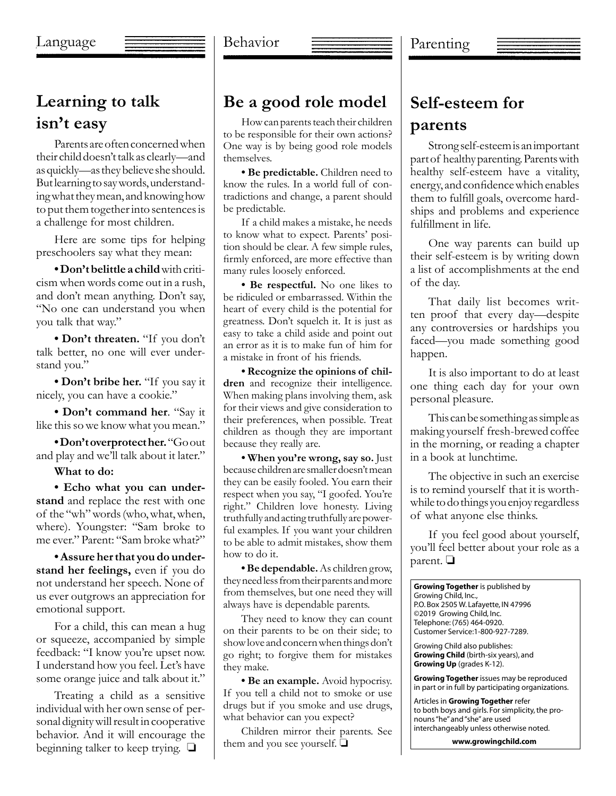## **Learning to talk isn't easy**

Parents are often concerned when their child doesn't talk as clearly—and as quickly—as they believe she should. But learning to say words, understanding what they mean, and knowing how to put them together into sentences is a challenge for most children.

Here are some tips for helping preschoolers say what they mean:

**• Don'tbelittle a child**with criticism when words come out in a rush, and don't mean anything. Don't say, "No one can understand you when you talk that way."

**• Don't threaten.** "If you don't talk better, no one will ever understand you."

**• Don't bribe her.** "If you say it nicely, you can have a cookie."

**• Don't command her**. "Say it like this so we know what you mean."

**• Don'toverprotecther.** "Go out and play and we'll talk about it later."

**What to do:**

**• Echo what you can understand** and replace the rest with one of the "wh" words (who, what, when, where). Youngster: "Sam broke to me ever." Parent: "Sam broke what?"

**• Assure herthat you do understand her feelings,** even if you do not understand her speech. None of us ever outgrows an appreciation for emotional support.

For a child, this can mean a hug or squeeze, accompanied by simple feedback: "I know you're upset now. I understand how you feel. Let's have some orange juice and talk about it."

Treating a child as a sensitive individual with her own sense of personal dignity will result in cooperative behavior. And it will encourage the beginning talker to keep trying.  $\Box$ 

#### **Be a good role model**

How can parents teach their children to be responsible for their own actions? One way is by being good role models themselves.

**• Be predictable.** Children need to know the rules. In a world full of contradictions and change, a parent should be predictable.

If a child makes a mistake, he needs to know what to expect. Parents' position should be clear. A few simple rules, firmly enforced, are more effective than many rules loosely enforced.

**• Be respectful.** No one likes to be ridiculed or embarrassed. Within the heart of every child is the potential for greatness. Don't squelch it. It is just as easy to take a child aside and point out an error as it is to make fun of him for a mistake in front of his friends.

**• Recognize the opinions of children** and recognize their intelligence. When making plans involving them, ask for their views and give consideration to their preferences, when possible. Treat children as though they are important because they really are.

**• When you're wrong, say so.** Just because children are smaller doesn't mean they can be easily fooled. You earn their respect when you say, "I goofed. You're right." Children love honesty. Living truthfully and acting truthfully are powerful examples. If you want your children to be able to admit mistakes, show them how to do it.

**• Be dependable.** As children grow, they need less from their parents and more from themselves, but one need they will always have is dependable parents.

They need to know they can count on their parents to be on their side; to show love and concern when things don't go right; to forgive them for mistakes they make.

**• Be an example.** Avoid hypocrisy. If you tell a child not to smoke or use drugs but if you smoke and use drugs, what behavior can you expect?

Children mirror their parents. See them and you see yourself.  $\Box$ 

# **Self-esteem for parents**

Strong self-esteem is an important part of healthy parenting. Parents with healthy self-esteem have a vitality, energy, and confidence which enables them to fulfill goals, overcome hardships and problems and experience fulfillment in life.

One way parents can build up their self-esteem is by writing down a list of accomplishments at the end of the day.

That daily list becomes written proof that every day—despite any controversies or hardships you faced—you made something good happen.

It is also important to do at least one thing each day for your own personal pleasure.

This can be something as simple as making yourself fresh-brewed coffee in the morning, or reading a chapter in a book at lunchtime.

The objective in such an exercise is to remind yourself that it is worthwhile to do things you enjoy regardless of what anyone else thinks.

If you feel good about yourself, you'll feel better about your role as a parent.  $\Box$ 



Articles in **Growing Together** refer to both boys and girls. For simplicity, the pronouns "he" and "she" are used interchangeably unless otherwise noted.

**www.growingchild.com**

#### Behavior